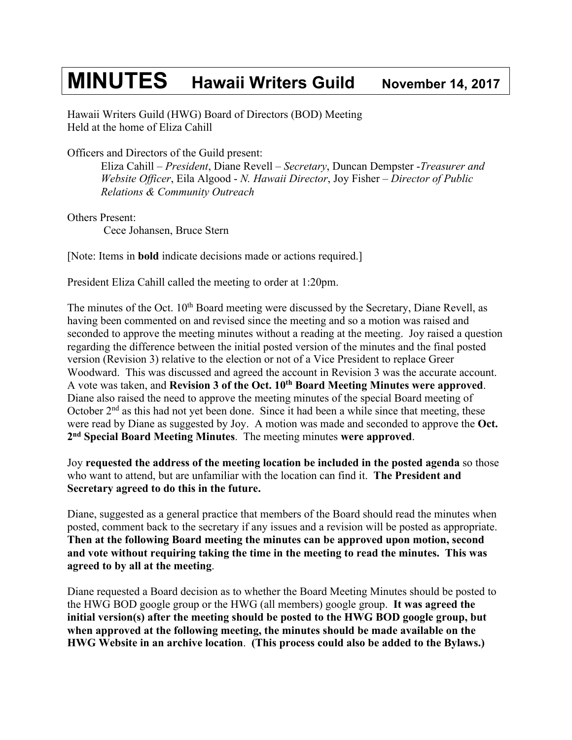## **MINUTES Hawaii Writers Guild November 14, <sup>2017</sup>**

Hawaii Writers Guild (HWG) Board of Directors (BOD) Meeting Held at the home of Eliza Cahill

Officers and Directors of the Guild present:

Eliza Cahill – *President*, Diane Revell – *Secretary*, Duncan Dempster -*Treasurer and Website Officer*, Eila Algood - *N. Hawaii Director*, Joy Fisher – *Director of Public Relations & Community Outreach*

Others Present: Cece Johansen, Bruce Stern

[Note: Items in **bold** indicate decisions made or actions required.]

President Eliza Cahill called the meeting to order at 1:20pm.

The minutes of the Oct.  $10<sup>th</sup>$  Board meeting were discussed by the Secretary, Diane Revell, as having been commented on and revised since the meeting and so a motion was raised and seconded to approve the meeting minutes without a reading at the meeting. Joy raised a question regarding the difference between the initial posted version of the minutes and the final posted version (Revision 3) relative to the election or not of a Vice President to replace Greer Woodward. This was discussed and agreed the account in Revision 3 was the accurate account. A vote was taken, and **Revision 3 of the Oct. 10th Board Meeting Minutes were approved**. Diane also raised the need to approve the meeting minutes of the special Board meeting of October  $2<sup>nd</sup>$  as this had not yet been done. Since it had been a while since that meeting, these were read by Diane as suggested by Joy. A motion was made and seconded to approve the **Oct. 2nd Special Board Meeting Minutes**. The meeting minutes **were approved**.

Joy **requested the address of the meeting location be included in the posted agenda** so those who want to attend, but are unfamiliar with the location can find it. **The President and Secretary agreed to do this in the future.**

Diane, suggested as a general practice that members of the Board should read the minutes when posted, comment back to the secretary if any issues and a revision will be posted as appropriate. **Then at the following Board meeting the minutes can be approved upon motion, second and vote without requiring taking the time in the meeting to read the minutes. This was agreed to by all at the meeting**.

Diane requested a Board decision as to whether the Board Meeting Minutes should be posted to the HWG BOD google group or the HWG (all members) google group. **It was agreed the initial version(s) after the meeting should be posted to the HWG BOD google group, but when approved at the following meeting, the minutes should be made available on the HWG Website in an archive location**. **(This process could also be added to the Bylaws.)**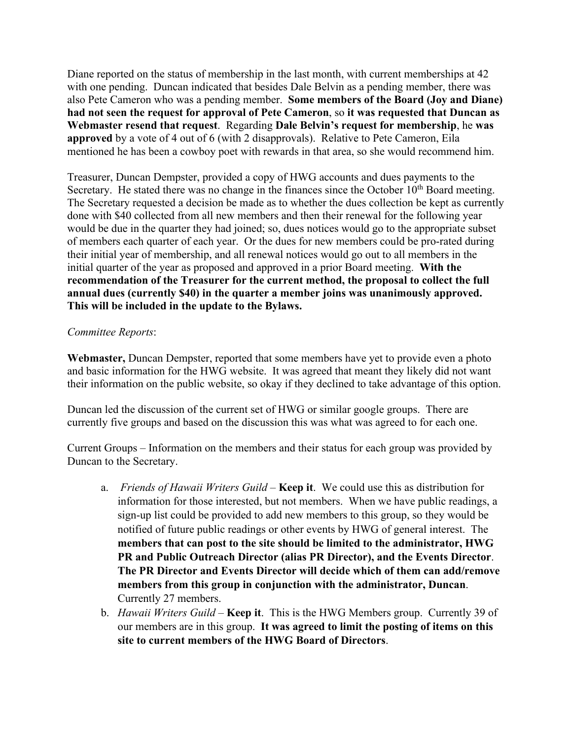Diane reported on the status of membership in the last month, with current memberships at 42 with one pending. Duncan indicated that besides Dale Belvin as a pending member, there was also Pete Cameron who was a pending member. **Some members of the Board (Joy and Diane) had not seen the request for approval of Pete Cameron**, so **it was requested that Duncan as Webmaster resend that request**. Regarding **Dale Belvin's request for membership**, he **was approved** by a vote of 4 out of 6 (with 2 disapprovals). Relative to Pete Cameron, Eila mentioned he has been a cowboy poet with rewards in that area, so she would recommend him.

Treasurer, Duncan Dempster, provided a copy of HWG accounts and dues payments to the Secretary. He stated there was no change in the finances since the October  $10<sup>th</sup>$  Board meeting. The Secretary requested a decision be made as to whether the dues collection be kept as currently done with \$40 collected from all new members and then their renewal for the following year would be due in the quarter they had joined; so, dues notices would go to the appropriate subset of members each quarter of each year. Or the dues for new members could be pro-rated during their initial year of membership, and all renewal notices would go out to all members in the initial quarter of the year as proposed and approved in a prior Board meeting. **With the recommendation of the Treasurer for the current method, the proposal to collect the full annual dues (currently \$40) in the quarter a member joins was unanimously approved. This will be included in the update to the Bylaws.**

## *Committee Reports*:

**Webmaster,** Duncan Dempster, reported that some members have yet to provide even a photo and basic information for the HWG website. It was agreed that meant they likely did not want their information on the public website, so okay if they declined to take advantage of this option.

Duncan led the discussion of the current set of HWG or similar google groups. There are currently five groups and based on the discussion this was what was agreed to for each one.

Current Groups – Information on the members and their status for each group was provided by Duncan to the Secretary.

- a. *Friends of Hawaii Writers Guild* **Keep it**. We could use this as distribution for information for those interested, but not members. When we have public readings, a sign-up list could be provided to add new members to this group, so they would be notified of future public readings or other events by HWG of general interest. The **members that can post to the site should be limited to the administrator, HWG PR and Public Outreach Director (alias PR Director), and the Events Director**. **The PR Director and Events Director will decide which of them can add/remove members from this group in conjunction with the administrator, Duncan**. Currently 27 members.
- b. *Hawaii Writers Guild* **Keep it**. This is the HWG Members group. Currently 39 of our members are in this group. **It was agreed to limit the posting of items on this site to current members of the HWG Board of Directors**.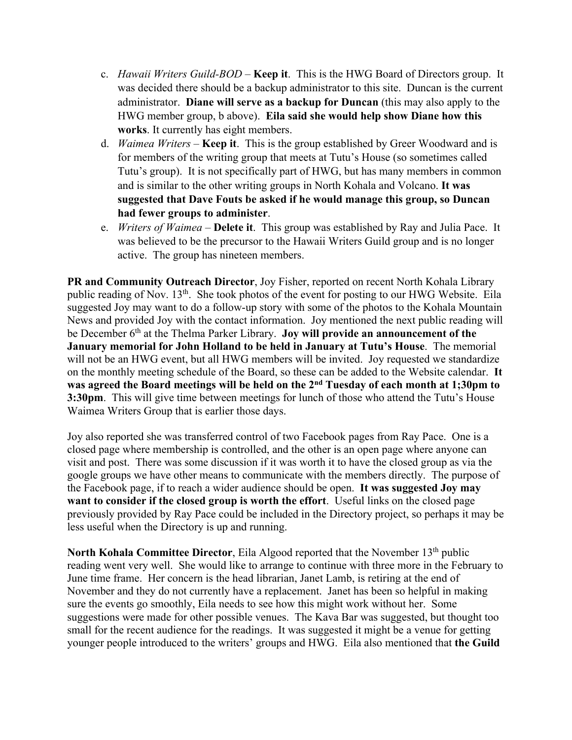- c. *Hawaii Writers Guild-BOD* **Keep it**. This is the HWG Board of Directors group. It was decided there should be a backup administrator to this site. Duncan is the current administrator. **Diane will serve as a backup for Duncan** (this may also apply to the HWG member group, b above). **Eila said she would help show Diane how this works**. It currently has eight members.
- d. *Waimea Writers* **Keep it**. This is the group established by Greer Woodward and is for members of the writing group that meets at Tutu's House (so sometimes called Tutu's group). It is not specifically part of HWG, but has many members in common and is similar to the other writing groups in North Kohala and Volcano. **It was suggested that Dave Fouts be asked if he would manage this group, so Duncan had fewer groups to administer**.
- e. *Writers of Waimea* **Delete it**. This group was established by Ray and Julia Pace. It was believed to be the precursor to the Hawaii Writers Guild group and is no longer active. The group has nineteen members.

**PR and Community Outreach Director**, Joy Fisher, reported on recent North Kohala Library public reading of Nov. 13<sup>th</sup>. She took photos of the event for posting to our HWG Website. Eila suggested Joy may want to do a follow-up story with some of the photos to the Kohala Mountain News and provided Joy with the contact information. Joy mentioned the next public reading will be December 6<sup>th</sup> at the Thelma Parker Library. **Joy will provide an announcement of the January memorial for John Holland to be held in January at Tutu's House**. The memorial will not be an HWG event, but all HWG members will be invited. Joy requested we standardize on the monthly meeting schedule of the Board, so these can be added to the Website calendar. **It was agreed the Board meetings will be held on the 2nd Tuesday of each month at 1;30pm to 3:30pm**. This will give time between meetings for lunch of those who attend the Tutu's House Waimea Writers Group that is earlier those days.

Joy also reported she was transferred control of two Facebook pages from Ray Pace. One is a closed page where membership is controlled, and the other is an open page where anyone can visit and post. There was some discussion if it was worth it to have the closed group as via the google groups we have other means to communicate with the members directly. The purpose of the Facebook page, if to reach a wider audience should be open. **It was suggested Joy may want to consider if the closed group is worth the effort**. Useful links on the closed page previously provided by Ray Pace could be included in the Directory project, so perhaps it may be less useful when the Directory is up and running.

North Kohala Committee Director, Eila Algood reported that the November 13<sup>th</sup> public reading went very well. She would like to arrange to continue with three more in the February to June time frame. Her concern is the head librarian, Janet Lamb, is retiring at the end of November and they do not currently have a replacement. Janet has been so helpful in making sure the events go smoothly, Eila needs to see how this might work without her. Some suggestions were made for other possible venues. The Kava Bar was suggested, but thought too small for the recent audience for the readings. It was suggested it might be a venue for getting younger people introduced to the writers' groups and HWG. Eila also mentioned that **the Guild**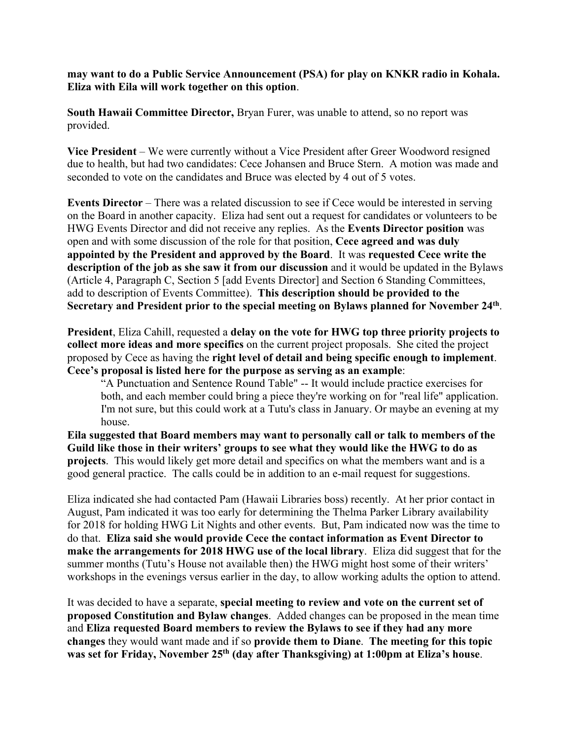**may want to do a Public Service Announcement (PSA) for play on KNKR radio in Kohala. Eliza with Eila will work together on this option**.

**South Hawaii Committee Director,** Bryan Furer, was unable to attend, so no report was provided.

**Vice President** – We were currently without a Vice President after Greer Woodword resigned due to health, but had two candidates: Cece Johansen and Bruce Stern. A motion was made and seconded to vote on the candidates and Bruce was elected by 4 out of 5 votes.

**Events Director** – There was a related discussion to see if Cece would be interested in serving on the Board in another capacity. Eliza had sent out a request for candidates or volunteers to be HWG Events Director and did not receive any replies. As the **Events Director position** was open and with some discussion of the role for that position, **Cece agreed and was duly appointed by the President and approved by the Board**. It was **requested Cece write the description of the job as she saw it from our discussion** and it would be updated in the Bylaws (Article 4, Paragraph C, Section 5 [add Events Director] and Section 6 Standing Committees, add to description of Events Committee). **This description should be provided to the Secretary and President prior to the special meeting on Bylaws planned for November 24th**.

**President**, Eliza Cahill, requested a **delay on the vote for HWG top three priority projects to collect more ideas and more specifics** on the current project proposals. She cited the project proposed by Cece as having the **right level of detail and being specific enough to implement**. **Cece's proposal is listed here for the purpose as serving as an example**:

"A Punctuation and Sentence Round Table" -- It would include practice exercises for both, and each member could bring a piece they're working on for "real life" application. I'm not sure, but this could work at a Tutu's class in January. Or maybe an evening at my house.

**Eila suggested that Board members may want to personally call or talk to members of the Guild like those in their writers' groups to see what they would like the HWG to do as projects**. This would likely get more detail and specifics on what the members want and is a good general practice. The calls could be in addition to an e-mail request for suggestions.

Eliza indicated she had contacted Pam (Hawaii Libraries boss) recently. At her prior contact in August, Pam indicated it was too early for determining the Thelma Parker Library availability for 2018 for holding HWG Lit Nights and other events. But, Pam indicated now was the time to do that. **Eliza said she would provide Cece the contact information as Event Director to make the arrangements for 2018 HWG use of the local library**. Eliza did suggest that for the summer months (Tutu's House not available then) the HWG might host some of their writers' workshops in the evenings versus earlier in the day, to allow working adults the option to attend.

It was decided to have a separate, **special meeting to review and vote on the current set of proposed Constitution and Bylaw changes**. Added changes can be proposed in the mean time and **Eliza requested Board members to review the Bylaws to see if they had any more changes** they would want made and if so **provide them to Diane**. **The meeting for this topic was set for Friday, November 25th (day after Thanksgiving) at 1:00pm at Eliza's house**.